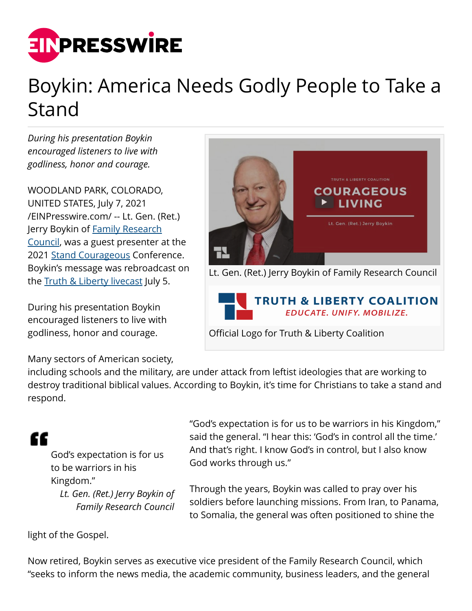

## Boykin: America Needs Godly People to Take a Stand

*During his presentation Boykin encouraged listeners to live with godliness, honor and courage.*

WOODLAND PARK, COLORADO, UNITED STATES, July 7, 2021 [/EINPresswire.com/](http://www.einpresswire.com) -- Lt. Gen. (Ret.) Jerry Boykin of [Family Research](https://www.frc.org) [Council](https://www.frc.org), was a guest presenter at the 2021 [Stand Courageous](https://standcourageous.com) Conference. Boykin's message was rebroadcast on the **Truth & Liberty livecast** July 5.

During his presentation Boykin encouraged listeners to live with godliness, honor and courage.

Many sectors of American society,



Official Logo for Truth & Liberty Coalition

including schools and the military, are under attack from leftist ideologies that are working to destroy traditional biblical values. According to Boykin, it's time for Christians to take a stand and respond.

æ

God's expectation is for us to be warriors in his Kingdom."

*Lt. Gen. (Ret.) Jerry Boykin of Family Research Council*

"God's expectation is for us to be warriors in his Kingdom," said the general. "I hear this: 'God's in control all the time.' And that's right. I know God's in control, but I also know God works through us."

Through the years, Boykin was called to pray over his soldiers before launching missions. From Iran, to Panama, to Somalia, the general was often positioned to shine the

light of the Gospel.

Now retired, Boykin serves as executive vice president of the Family Research Council, which "seeks to inform the news media, the academic community, business leaders, and the general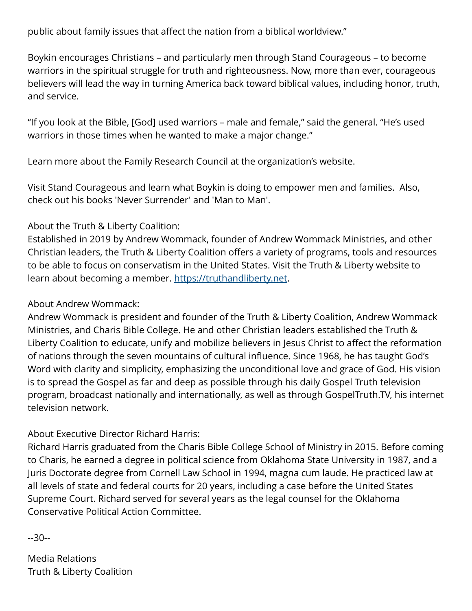public about family issues that affect the nation from a biblical worldview."

Boykin encourages Christians – and particularly men through Stand Courageous – to become warriors in the spiritual struggle for truth and righteousness. Now, more than ever, courageous believers will lead the way in turning America back toward biblical values, including honor, truth, and service.

"If you look at the Bible, [God] used warriors – male and female," said the general. "He's used warriors in those times when he wanted to make a major change."

Learn more about the Family Research Council at the organization's website.

Visit Stand Courageous and learn what Boykin is doing to empower men and families. Also, check out his books 'Never Surrender' and 'Man to Man'.

## About the Truth & Liberty Coalition:

Established in 2019 by Andrew Wommack, founder of Andrew Wommack Ministries, and other Christian leaders, the Truth & Liberty Coalition offers a variety of programs, tools and resources to be able to focus on conservatism in the United States. Visit the Truth & Liberty website to learn about becoming a member. [https://truthandliberty.net.](https://truthandliberty.net)

## About Andrew Wommack:

Andrew Wommack is president and founder of the Truth & Liberty Coalition, Andrew Wommack Ministries, and Charis Bible College. He and other Christian leaders established the Truth & Liberty Coalition to educate, unify and mobilize believers in Jesus Christ to affect the reformation of nations through the seven mountains of cultural influence. Since 1968, he has taught God's Word with clarity and simplicity, emphasizing the unconditional love and grace of God. His vision is to spread the Gospel as far and deep as possible through his daily Gospel Truth television program, broadcast nationally and internationally, as well as through GospelTruth.TV, his internet television network.

About Executive Director Richard Harris:

Richard Harris graduated from the Charis Bible College School of Ministry in 2015. Before coming to Charis, he earned a degree in political science from Oklahoma State University in 1987, and a Juris Doctorate degree from Cornell Law School in 1994, magna cum laude. He practiced law at all levels of state and federal courts for 20 years, including a case before the United States Supreme Court. Richard served for several years as the legal counsel for the Oklahoma Conservative Political Action Committee.

--30--

Media Relations Truth & Liberty Coalition